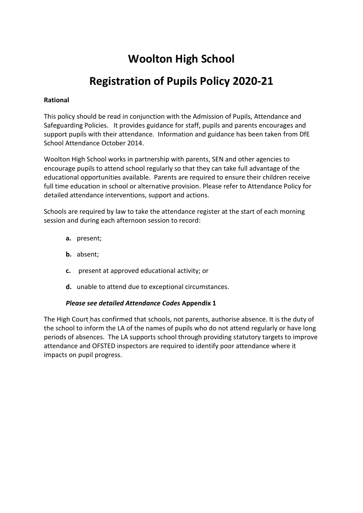# **Woolton High School**

# **Registration of Pupils Policy 2020-21**

# **Rational**

This policy should be read in conjunction with the Admission of Pupils, Attendance and Safeguarding Policies. It provides guidance for staff, pupils and parents encourages and support pupils with their attendance. Information and guidance has been taken from DfE School Attendance October 2014.

Woolton High School works in partnership with parents, SEN and other agencies to encourage pupils to attend school regularly so that they can take full advantage of the educational opportunities available. Parents are required to ensure their children receive full time education in school or alternative provision. Please refer to Attendance Policy for detailed attendance interventions, support and actions.

Schools are required by law to take the attendance register at the start of each morning session and during each afternoon session to record:

- **a.** present;
- **b.** absent;
- **c.** present at approved educational activity; or
- **d.** unable to attend due to exceptional circumstances.

## *Please see detailed Attendance Codes* **Appendix 1**

The High Court has confirmed that schools, not parents, authorise absence. It is the duty of the school to inform the LA of the names of pupils who do not attend regularly or have long periods of absences. The LA supports school through providing statutory targets to improve attendance and OFSTED inspectors are required to identify poor attendance where it impacts on pupil progress.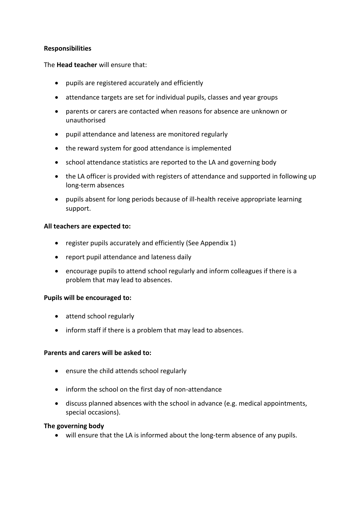## **Responsibilities**

The **Head teacher** will ensure that:

- pupils are registered accurately and efficiently
- attendance targets are set for individual pupils, classes and year groups
- parents or carers are contacted when reasons for absence are unknown or unauthorised
- pupil attendance and lateness are monitored regularly
- the reward system for good attendance is implemented
- school attendance statistics are reported to the LA and governing body
- the LA officer is provided with registers of attendance and supported in following up long-term absences
- pupils absent for long periods because of ill-health receive appropriate learning support.

## **All teachers are expected to:**

- register pupils accurately and efficiently (See Appendix 1)
- report pupil attendance and lateness daily
- encourage pupils to attend school regularly and inform colleagues if there is a problem that may lead to absences.

## **Pupils will be encouraged to:**

- attend school regularly
- inform staff if there is a problem that may lead to absences.

## **Parents and carers will be asked to:**

- ensure the child attends school regularly
- inform the school on the first day of non-attendance
- discuss planned absences with the school in advance (e.g. medical appointments, special occasions).

## **The governing body**

• will ensure that the LA is informed about the long-term absence of any pupils.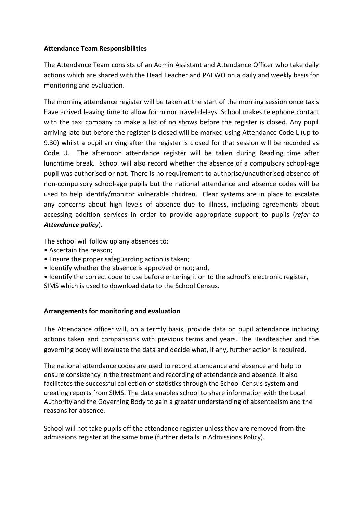# **Attendance Team Responsibilities**

The Attendance Team consists of an Admin Assistant and Attendance Officer who take daily actions which are shared with the Head Teacher and PAEWO on a daily and weekly basis for monitoring and evaluation.

The morning attendance register will be taken at the start of the morning session once taxis have arrived leaving time to allow for minor travel delays. School makes telephone contact with the taxi company to make a list of no shows before the register is closed. Any pupil arriving late but before the register is closed will be marked using Attendance Code L (up to 9.30) whilst a pupil arriving after the register is closed for that session will be recorded as Code U. The afternoon attendance register will be taken during Reading time after lunchtime break. School will also record whether the absence of a compulsory school-age pupil was authorised or not. There is no requirement to authorise/unauthorised absence of non-compulsory school-age pupils but the national attendance and absence codes will be used to help identify/monitor vulnerable children. Clear systems are in place to escalate any concerns about high levels of absence due to illness, including agreements about accessing addition services in order to provide appropriate support to pupils (*refer to Attendance policy*).

The school will follow up any absences to:

- Ascertain the reason;
- Ensure the proper safeguarding action is taken;
- Identify whether the absence is approved or not; and,
- Identify the correct code to use before entering it on to the school's electronic register,

SIMS which is used to download data to the School Census.

# **Arrangements for monitoring and evaluation**

The Attendance officer will, on a termly basis, provide data on pupil attendance including actions taken and comparisons with previous terms and years. The Headteacher and the governing body will evaluate the data and decide what, if any, further action is required.

The national attendance codes are used to record attendance and absence and help to ensure consistency in the treatment and recording of attendance and absence. It also facilitates the successful collection of statistics through the School Census system and creating reports from SIMS. The data enables school to share information with the Local Authority and the Governing Body to gain a greater understanding of absenteeism and the reasons for absence.

School will not take pupils off the attendance register unless they are removed from the admissions register at the same time (further details in Admissions Policy).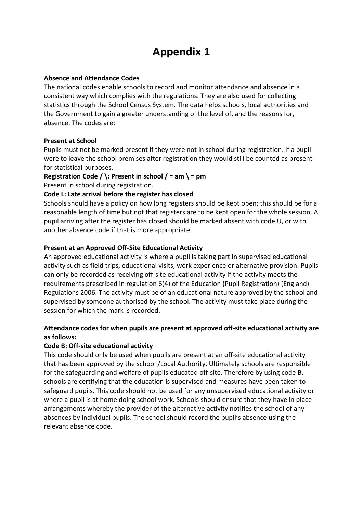# **Appendix 1**

#### **Absence and Attendance Codes**

The national codes enable schools to record and monitor attendance and absence in a consistent way which complies with the regulations. They are also used for collecting statistics through the School Census System. The data helps schools, local authorities and the Government to gain a greater understanding of the level of, and the reasons for, absence. The codes are:

## **Present at School**

Pupils must not be marked present if they were not in school during registration. If a pupil were to leave the school premises after registration they would still be counted as present for statistical purposes.

**Registration Code / \: Present in school / = am \ = pm** 

Present in school during registration.

## **Code L: Late arrival before the register has closed**

Schools should have a policy on how long registers should be kept open; this should be for a reasonable length of time but not that registers are to be kept open for the whole session. A pupil arriving after the register has closed should be marked absent with code U, or with another absence code if that is more appropriate.

## **Present at an Approved Off-Site Educational Activity**

An approved educational activity is where a pupil is taking part in supervised educational activity such as field trips, educational visits, work experience or alternative provision. Pupils can only be recorded as receiving off-site educational activity if the activity meets the requirements prescribed in regulation 6(4) of the Education (Pupil Registration) (England) Regulations 2006. The activity must be of an educational nature approved by the school and supervised by someone authorised by the school. The activity must take place during the session for which the mark is recorded.

# **Attendance codes for when pupils are present at approved off-site educational activity are as follows:**

## **Code B: Off-site educational activity**

This code should only be used when pupils are present at an off-site educational activity that has been approved by the school /Local Authority. Ultimately schools are responsible for the safeguarding and welfare of pupils educated off-site. Therefore by using code B, schools are certifying that the education is supervised and measures have been taken to safeguard pupils. This code should not be used for any unsupervised educational activity or where a pupil is at home doing school work. Schools should ensure that they have in place arrangements whereby the provider of the alternative activity notifies the school of any absences by individual pupils. The school should record the pupil's absence using the relevant absence code.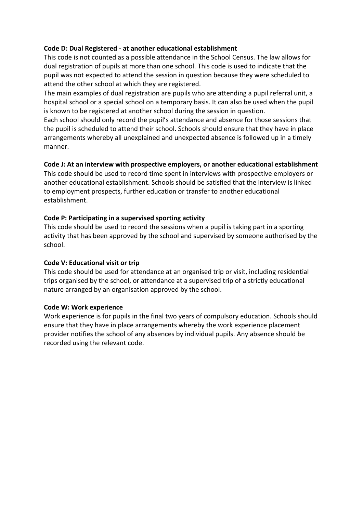# **Code D: Dual Registered - at another educational establishment**

This code is not counted as a possible attendance in the School Census. The law allows for dual registration of pupils at more than one school. This code is used to indicate that the pupil was not expected to attend the session in question because they were scheduled to attend the other school at which they are registered.

The main examples of dual registration are pupils who are attending a pupil referral unit, a hospital school or a special school on a temporary basis. It can also be used when the pupil is known to be registered at another school during the session in question.

Each school should only record the pupil's attendance and absence for those sessions that the pupil is scheduled to attend their school. Schools should ensure that they have in place arrangements whereby all unexplained and unexpected absence is followed up in a timely manner.

# **Code J: At an interview with prospective employers, or another educational establishment**

This code should be used to record time spent in interviews with prospective employers or another educational establishment. Schools should be satisfied that the interview is linked to employment prospects, further education or transfer to another educational establishment.

# **Code P: Participating in a supervised sporting activity**

This code should be used to record the sessions when a pupil is taking part in a sporting activity that has been approved by the school and supervised by someone authorised by the school.

# **Code V: Educational visit or trip**

This code should be used for attendance at an organised trip or visit, including residential trips organised by the school, or attendance at a supervised trip of a strictly educational nature arranged by an organisation approved by the school.

## **Code W: Work experience**

Work experience is for pupils in the final two years of compulsory education. Schools should ensure that they have in place arrangements whereby the work experience placement provider notifies the school of any absences by individual pupils. Any absence should be recorded using the relevant code.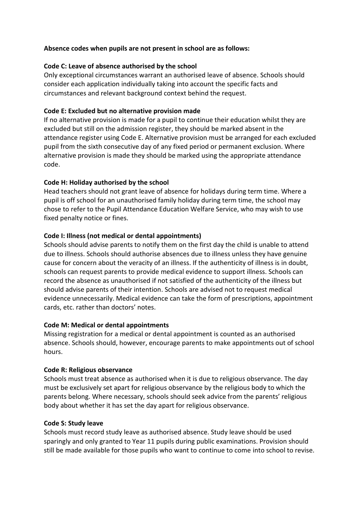# **Absence codes when pupils are not present in school are as follows:**

## **Code C: Leave of absence authorised by the school**

Only exceptional circumstances warrant an authorised leave of absence. Schools should consider each application individually taking into account the specific facts and circumstances and relevant background context behind the request.

# **Code E: Excluded but no alternative provision made**

If no alternative provision is made for a pupil to continue their education whilst they are excluded but still on the admission register, they should be marked absent in the attendance register using Code E. Alternative provision must be arranged for each excluded pupil from the sixth consecutive day of any fixed period or permanent exclusion. Where alternative provision is made they should be marked using the appropriate attendance code.

## **Code H: Holiday authorised by the school**

Head teachers should not grant leave of absence for holidays during term time. Where a pupil is off school for an unauthorised family holiday during term time, the school may chose to refer to the Pupil Attendance Education Welfare Service, who may wish to use fixed penalty notice or fines.

## **Code I: Illness (not medical or dental appointments)**

Schools should advise parents to notify them on the first day the child is unable to attend due to illness. Schools should authorise absences due to illness unless they have genuine cause for concern about the veracity of an illness. If the authenticity of illness is in doubt, schools can request parents to provide medical evidence to support illness. Schools can record the absence as unauthorised if not satisfied of the authenticity of the illness but should advise parents of their intention. Schools are advised not to request medical evidence unnecessarily. Medical evidence can take the form of prescriptions, appointment cards, etc. rather than doctors' notes.

## **Code M: Medical or dental appointments**

Missing registration for a medical or dental appointment is counted as an authorised absence. Schools should, however, encourage parents to make appointments out of school hours.

## **Code R: Religious observance**

Schools must treat absence as authorised when it is due to religious observance. The day must be exclusively set apart for religious observance by the religious body to which the parents belong. Where necessary, schools should seek advice from the parents' religious body about whether it has set the day apart for religious observance.

## **Code S: Study leave**

Schools must record study leave as authorised absence. Study leave should be used sparingly and only granted to Year 11 pupils during public examinations. Provision should still be made available for those pupils who want to continue to come into school to revise.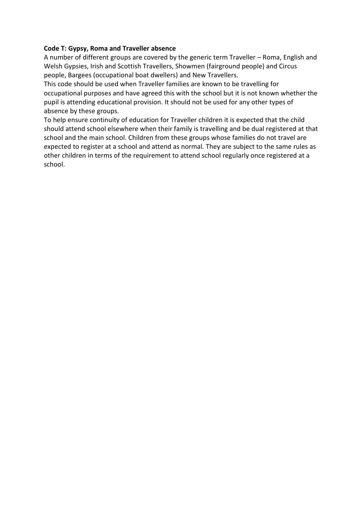# **Code T: Gypsy, Roma and Traveller absence**

A number of different groups are covered by the generic term Traveller – Roma, English and Welsh Gypsies, Irish and Scottish Travellers, Showmen (fairground people) and Circus people, Bargees (occupational boat dwellers) and New Travellers.

This code should be used when Traveller families are known to be travelling for occupational purposes and have agreed this with the school but it is not known whether the pupil is attending educational provision. It should not be used for any other types of absence by these groups.

To help ensure continuity of education for Traveller children it is expected that the child should attend school elsewhere when their family is travelling and be dual registered at that school and the main school. Children from these groups whose families do not travel are expected to register at a school and attend as normal. They are subject to the same rules as other children in terms of the requirement to attend school regularly once registered at a school.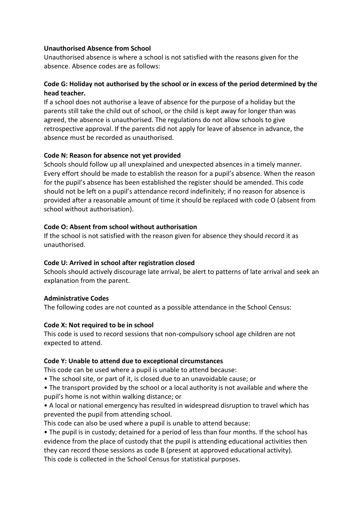## **Unauthorised Absence from School**

Unauthorised absence is where a school is not satisfied with the reasons given for the absence. Absence codes are as follows:

# **Code G: Holiday not authorised by the school or in excess of the period determined by the head teacher.**

If a school does not authorise a leave of absence for the purpose of a holiday but the parents still take the child out of school, or the child is kept away for longer than was agreed, the absence is unauthorised. The regulations do not allow schools to give retrospective approval. If the parents did not apply for leave of absence in advance, the absence must be recorded as unauthorised.

## **Code N: Reason for absence not yet provided**

Schools should follow up all unexplained and unexpected absences in a timely manner. Every effort should be made to establish the reason for a pupil's absence. When the reason for the pupil's absence has been established the register should be amended. This code should not be left on a pupil's attendance record indefinitely; if no reason for absence is provided after a reasonable amount of time it should be replaced with code O (absent from school without authorisation).

## **Code O: Absent from school without authorisation**

If the school is not satisfied with the reason given for absence they should record it as unauthorised.

## **Code U: Arrived in school after registration closed**

Schools should actively discourage late arrival, be alert to patterns of late arrival and seek an explanation from the parent.

## **Administrative Codes**

The following codes are not counted as a possible attendance in the School Census:

## **Code X: Not required to be in school**

This code is used to record sessions that non-compulsory school age children are not expected to attend.

## **Code Y: Unable to attend due to exceptional circumstances**

This code can be used where a pupil is unable to attend because:

- The school site, or part of it, is closed due to an unavoidable cause; or
- The transport provided by the school or a local authority is not available and where the pupil's home is not within walking distance; or
- A local or national emergency has resulted in widespread disruption to travel which has prevented the pupil from attending school.

This code can also be used where a pupil is unable to attend because:

• The pupil is in custody; detained for a period of less than four months. If the school has evidence from the place of custody that the pupil is attending educational activities then they can record those sessions as code B (present at approved educational activity). This code is collected in the School Census for statistical purposes.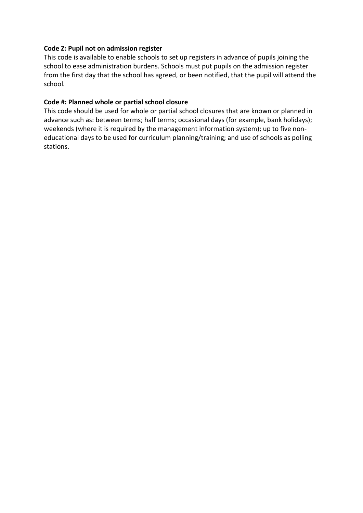## **Code Z: Pupil not on admission register**

This code is available to enable schools to set up registers in advance of pupils joining the school to ease administration burdens. Schools must put pupils on the admission register from the first day that the school has agreed, or been notified, that the pupil will attend the school*.* 

# **Code #: Planned whole or partial school closure**

This code should be used for whole or partial school closures that are known or planned in advance such as: between terms; half terms; occasional days (for example, bank holidays); weekends (where it is required by the management information system); up to five noneducational days to be used for curriculum planning/training; and use of schools as polling stations.